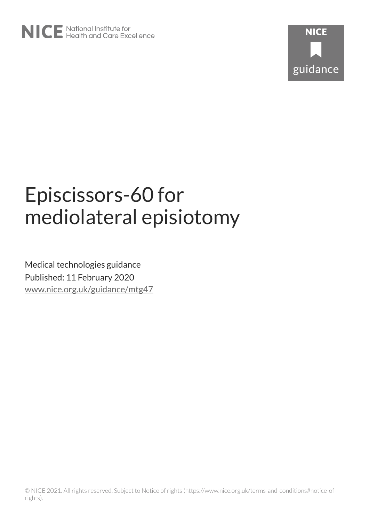



# Episcissors-60 for mediolateral episiotomy

Medical technologies guidance Published: 11 February 2020 [www.nice.org.uk/guidance/mtg47](https://www.nice.org.uk/guidance/mtg47)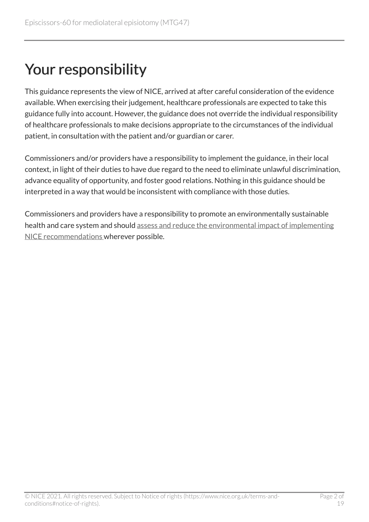# Your responsibility

This guidance represents the view of NICE, arrived at after careful consideration of the evidence available. When exercising their judgement, healthcare professionals are expected to take this guidance fully into account. However, the guidance does not override the individual responsibility of healthcare professionals to make decisions appropriate to the circumstances of the individual patient, in consultation with the patient and/or guardian or carer.

Commissioners and/or providers have a responsibility to implement the guidance, in their local context, in light of their duties to have due regard to the need to eliminate unlawful discrimination, advance equality of opportunity, and foster good relations. Nothing in this guidance should be interpreted in a way that would be inconsistent with compliance with those duties.

Commissioners and providers have a responsibility to promote an environmentally sustainable health and care system and should [assess and reduce the environmental impact of implementing](https://www.nice.org.uk/about/who-we-are/sustainability)  [NICE recommendations w](https://www.nice.org.uk/about/who-we-are/sustainability)herever possible.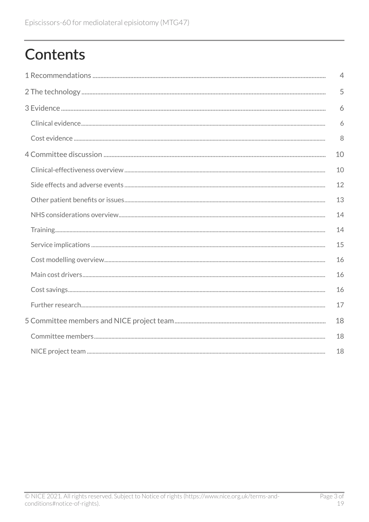# **Contents**

|                                                                                                                                                                                                                                                                                                                                                                                                                                                                                                                | $\overline{4}$ |
|----------------------------------------------------------------------------------------------------------------------------------------------------------------------------------------------------------------------------------------------------------------------------------------------------------------------------------------------------------------------------------------------------------------------------------------------------------------------------------------------------------------|----------------|
|                                                                                                                                                                                                                                                                                                                                                                                                                                                                                                                | 5              |
|                                                                                                                                                                                                                                                                                                                                                                                                                                                                                                                | 6              |
|                                                                                                                                                                                                                                                                                                                                                                                                                                                                                                                | 6              |
|                                                                                                                                                                                                                                                                                                                                                                                                                                                                                                                | 8              |
| 10                                                                                                                                                                                                                                                                                                                                                                                                                                                                                                             |                |
|                                                                                                                                                                                                                                                                                                                                                                                                                                                                                                                | 10             |
|                                                                                                                                                                                                                                                                                                                                                                                                                                                                                                                | 12             |
|                                                                                                                                                                                                                                                                                                                                                                                                                                                                                                                | 13             |
|                                                                                                                                                                                                                                                                                                                                                                                                                                                                                                                | 14             |
| $\begin{minipage}[c]{0.9\linewidth} \textbf{Training} \end{minipage}[ex>{\color{red}i} \begin{minipage}[c]{0.9\linewidth} \textbf{Transp} \end{minipage}[ex>{\color{red}i} \begin{minipage}[c]{0.9\linewidth} \textbf{Transp} \end{minipage}[ex]{\color{red}i} \begin{minipage}[c]{0.9\linewidth} \textbf{Transp} \end{minipage}[ex]{\color{red}i} \begin{minipage}[c]{0.9\linewidth} \textbf{Transp} \end{minipage}[ex]{\color{red}i} \begin{minipage}[c]{0.9\linewidth} \textbf{Transp} \end{minipage}[ex]{$ | 14             |
|                                                                                                                                                                                                                                                                                                                                                                                                                                                                                                                | 15             |
|                                                                                                                                                                                                                                                                                                                                                                                                                                                                                                                | 16             |
|                                                                                                                                                                                                                                                                                                                                                                                                                                                                                                                | 16             |
|                                                                                                                                                                                                                                                                                                                                                                                                                                                                                                                | 16             |
|                                                                                                                                                                                                                                                                                                                                                                                                                                                                                                                | 17             |
|                                                                                                                                                                                                                                                                                                                                                                                                                                                                                                                | 18             |
|                                                                                                                                                                                                                                                                                                                                                                                                                                                                                                                | 18             |
|                                                                                                                                                                                                                                                                                                                                                                                                                                                                                                                | 18             |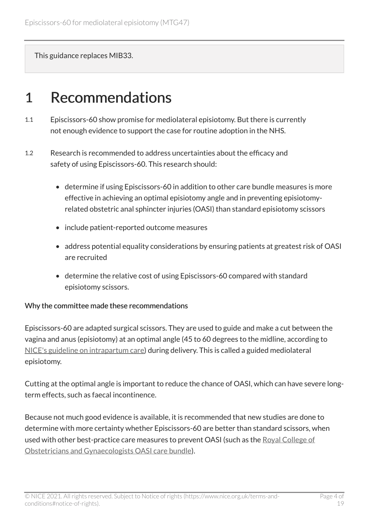This guidance replaces MIB33.

## <span id="page-3-0"></span>1 Recommendations

- 1.1 Episcissors-60 show promise for mediolateral episiotomy. But there is currently not enough evidence to support the case for routine adoption in the NHS.
- 1.2 Research is recommended to address uncertainties about the efficacy and safety of using Episcissors-60. This research should:
	- determine if using Episcissors-60 in addition to other care bundle measures is more effective in achieving an optimal episiotomy angle and in preventing episiotomyrelated obstetric anal sphincter injuries (OASI) than standard episiotomy scissors
	- include patient-reported outcome measures
	- address potential equality considerations by ensuring patients at greatest risk of OASI are recruited
	- determine the relative cost of using Episcissors-60 compared with standard episiotomy scissors.

#### Why the committee made these recommendations

Episcissors-60 are adapted surgical scissors. They are used to guide and make a cut between the vagina and anus (episiotomy) at an optimal angle (45 to 60 degrees to the midline, according to [NICE's guideline on intrapartum care\)](https://www.nice.org.uk/guidance/cg190) during delivery. This is called a guided mediolateral episiotomy.

Cutting at the optimal angle is important to reduce the chance of OASI, which can have severe longterm effects, such as faecal incontinence.

Because not much good evidence is available, it is recommended that new studies are done to determine with more certainty whether Episcissors-60 are better than standard scissors, when used with other best-practice care measures to prevent OASI (such as the [Royal College of](https://www.rcog.org.uk/OASICareBundle) [Obstetricians and Gynaecologists OASI care bundle\)](https://www.rcog.org.uk/OASICareBundle).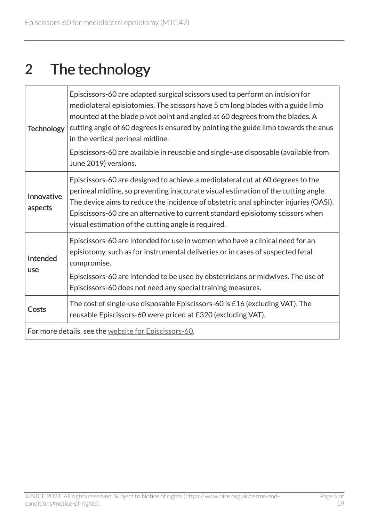# <span id="page-4-0"></span>2 The technology

| <b>Technology</b>                                     | Episcissors-60 are adapted surgical scissors used to perform an incision for<br>mediolateral episiotomies. The scissors have 5 cm long blades with a guide limb<br>mounted at the blade pivot point and angled at 60 degrees from the blades. A<br>cutting angle of 60 degrees is ensured by pointing the guide limb towards the anus<br>in the vertical perineal midline.<br>Episcissors-60 are available in reusable and single-use disposable (available from<br>June 2019) versions. |  |
|-------------------------------------------------------|------------------------------------------------------------------------------------------------------------------------------------------------------------------------------------------------------------------------------------------------------------------------------------------------------------------------------------------------------------------------------------------------------------------------------------------------------------------------------------------|--|
| Innovative<br>aspects                                 | Episcissors-60 are designed to achieve a mediolateral cut at 60 degrees to the<br>perineal midline, so preventing inaccurate visual estimation of the cutting angle.<br>The device aims to reduce the incidence of obstetric anal sphincter injuries (OASI).<br>Episcissors-60 are an alternative to current standard episiotomy scissors when<br>visual estimation of the cutting angle is required.                                                                                    |  |
| Intended<br>use                                       | Episcissors-60 are intended for use in women who have a clinical need for an<br>episiotomy, such as for instrumental deliveries or in cases of suspected fetal<br>compromise.<br>Episcissors-60 are intended to be used by obstetricians or midwives. The use of<br>Episcissors-60 does not need any special training measures.                                                                                                                                                          |  |
| Costs                                                 | The cost of single-use disposable Episcissors-60 is £16 (excluding VAT). The<br>reusable Episcissors-60 were priced at £320 (excluding VAT).                                                                                                                                                                                                                                                                                                                                             |  |
| For more details, see the website for Episcissors-60. |                                                                                                                                                                                                                                                                                                                                                                                                                                                                                          |  |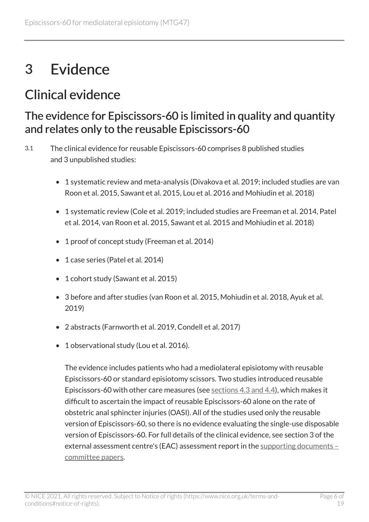# <span id="page-5-0"></span>3 Evidence

## <span id="page-5-1"></span>Clinical evidence

### The evidence for Episcissors-60 is limited in quality and quantity and relates only to the reusable Episcissors-60

- 3.1 The clinical evidence for reusable Episcissors-60 comprises 8 published studies and 3 unpublished studies:
	- 1 systematic review and meta-analysis (Divakova et al. 2019; included studies are van Roon et al. 2015, Sawant et al. 2015, Lou et al. 2016 and Mohiudin et al. 2018)
	- 1 systematic review (Cole et al. 2019; included studies are Freeman et al. 2014, Patel et al. 2014, van Roon et al. 2015, Sawant et al. 2015 and Mohiudin et al. 2018)
	- 1 proof of concept study (Freeman et al. 2014)
	- 1 case series (Patel et al. 2014)
	- 1 cohort study (Sawant et al. 2015)
	- 3 before and after studies (van Roon et al. 2015, Mohiudin et al. 2018, Ayuk et al. 2019)
	- 2 abstracts (Farnworth et al. 2019, Condell et al. 2017)
	- 1 observational study (Lou et al. 2016).

The evidence includes patients who had a mediolateral episiotomy with reusable Episcissors-60 or standard episiotomy scissors. Two studies introduced reusable Episcissors-60 with other care measures (see [sections 4.3 and 4.4\)](#page-10-0), which makes it difficult to ascertain the impact of reusable Episcissors-60 alone on the rate of obstetric anal sphincter injuries (OASI). All of the studies used only the reusable version of Episcissors-60, so there is no evidence evaluating the single-use disposable version of Episcissors-60. For full details of the clinical evidence, see section 3 of the external assessment centre's (EAC) assessment report in the [supporting documents –](https://www.nice.org.uk/guidance/mtg47/documents)  [committee papers](https://www.nice.org.uk/guidance/mtg47/documents).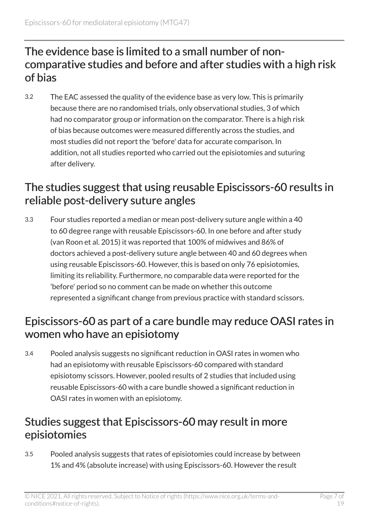### The evidence base is limited to a small number of noncomparative studies and before and after studies with a high risk of bias

3.2 The EAC assessed the quality of the evidence base as very low. This is primarily because there are no randomised trials, only observational studies, 3 of which had no comparator group or information on the comparator. There is a high risk of bias because outcomes were measured differently across the studies, and most studies did not report the 'before' data for accurate comparison. In addition, not all studies reported who carried out the episiotomies and suturing after delivery.

### The studies suggest that using reusable Episcissors-60 results in reliable post-delivery suture angles

3.3 Four studies reported a median or mean post-delivery suture angle within a 40 to 60 degree range with reusable Episcissors-60. In one before and after study (van Roon et al. 2015) it was reported that 100% of midwives and 86% of doctors achieved a post-delivery suture angle between 40 and 60 degrees when using reusable Episcissors-60. However, this is based on only 76 episiotomies, limiting its reliability. Furthermore, no comparable data were reported for the 'before' period so no comment can be made on whether this outcome represented a significant change from previous practice with standard scissors.

### Episcissors-60 as part of a care bundle may reduce OASI rates in women who have an episiotomy

3.4 Pooled analysis suggests no significant reduction in OASI rates in women who had an episiotomy with reusable Episcissors-60 compared with standard episiotomy scissors. However, pooled results of 2 studies that included using reusable Episcissors-60 with a care bundle showed a significant reduction in OASI rates in women with an episiotomy.

## Studies suggest that Episcissors-60 may result in more episiotomies

3.5 Pooled analysis suggests that rates of episiotomies could increase by between 1% and 4% (absolute increase) with using Episcissors-60. However the result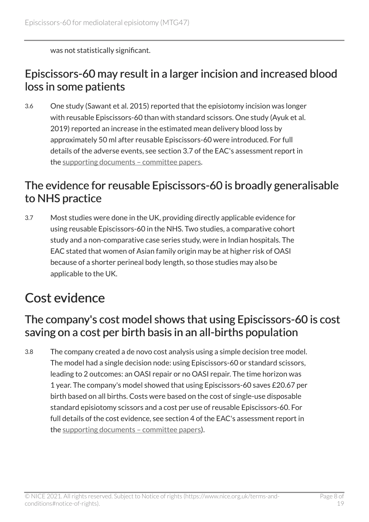was not statistically significant.

### Episcissors-60 may result in a larger incision and increased blood loss in some patients

3.6 One study (Sawant et al. 2015) reported that the episiotomy incision was longer with reusable Episcissors-60 than with standard scissors. One study (Ayuk et al. 2019) reported an increase in the estimated mean delivery blood loss by approximately 50 ml after reusable Episcissors-60 were introduced. For full details of the adverse events, see section 3.7 of the EAC's assessment report in the [supporting documents – committee papers](https://www.nice.org.uk/guidance/mtg47/documents).

## The evidence for reusable Episcissors-60 is broadly generalisable to NHS practice

3.7 Most studies were done in the UK, providing directly applicable evidence for using reusable Episcissors-60 in the NHS. Two studies, a comparative cohort study and a non-comparative case series study, were in Indian hospitals. The EAC stated that women of Asian family origin may be at higher risk of OASI because of a shorter perineal body length, so those studies may also be applicable to the UK.

## <span id="page-7-0"></span>Cost evidence

### The company's cost model shows that using Episcissors-60 is cost saving on a cost per birth basis in an all-births population

3.8 The company created a de novo cost analysis using a simple decision tree model. The model had a single decision node: using Episcissors-60 or standard scissors, leading to 2 outcomes: an OASI repair or no OASI repair. The time horizon was 1 year. The company's model showed that using Episcissors-60 saves £20.67 per birth based on all births. Costs were based on the cost of single-use disposable standard episiotomy scissors and a cost per use of reusable Episcissors-60. For full details of the cost evidence, see section 4 of the EAC's assessment report in the [supporting documents – committee papers](https://www.nice.org.uk/guidance/mtg47/documents)).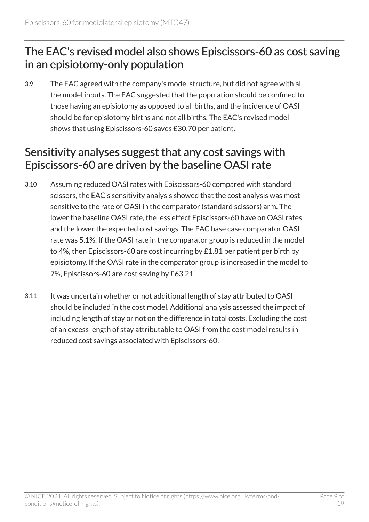## The EAC's revised model also shows Episcissors-60 as cost saving in an episiotomy-only population

3.9 The EAC agreed with the company's model structure, but did not agree with all the model inputs. The EAC suggested that the population should be confined to those having an episiotomy as opposed to all births, and the incidence of OASI should be for episiotomy births and not all births. The EAC's revised model shows that using Episcissors-60 saves £30.70 per patient.

## Sensitivity analyses suggest that any cost savings with Episcissors-60 are driven by the baseline OASI rate

- 3.10 Assuming reduced OASI rates with Episcissors-60 compared with standard scissors, the EAC's sensitivity analysis showed that the cost analysis was most sensitive to the rate of OASI in the comparator (standard scissors) arm. The lower the baseline OASI rate, the less effect Episcissors-60 have on OASI rates and the lower the expected cost savings. The EAC base case comparator OASI rate was 5.1%. If the OASI rate in the comparator group is reduced in the model to 4%, then Episcissors-60 are cost incurring by £1.81 per patient per birth by episiotomy. If the OASI rate in the comparator group is increased in the model to 7%, Episcissors-60 are cost saving by £63.21.
- 3.11 It was uncertain whether or not additional length of stay attributed to OASI should be included in the cost model. Additional analysis assessed the impact of including length of stay or not on the difference in total costs. Excluding the cost of an excess length of stay attributable to OASI from the cost model results in reduced cost savings associated with Episcissors-60.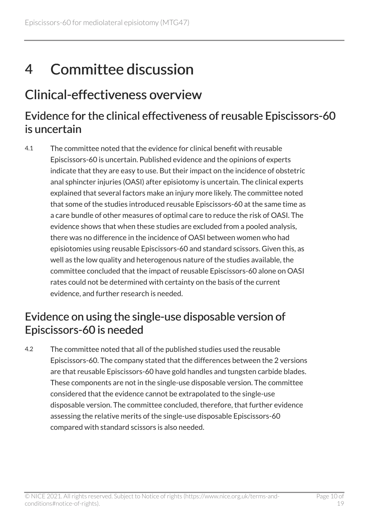# <span id="page-9-0"></span>4 Committee discussion

## <span id="page-9-1"></span>Clinical-effectiveness overview

### Evidence for the clinical effectiveness of reusable Episcissors-60 is uncertain

4.1 The committee noted that the evidence for clinical benefit with reusable Episcissors-60 is uncertain. Published evidence and the opinions of experts indicate that they are easy to use. But their impact on the incidence of obstetric anal sphincter injuries (OASI) after episiotomy is uncertain. The clinical experts explained that several factors make an injury more likely. The committee noted that some of the studies introduced reusable Episcissors-60 at the same time as a care bundle of other measures of optimal care to reduce the risk of OASI. The evidence shows that when these studies are excluded from a pooled analysis, there was no difference in the incidence of OASI between women who had episiotomies using reusable Episcissors-60 and standard scissors. Given this, as well as the low quality and heterogenous nature of the studies available, the committee concluded that the impact of reusable Episcissors-60 alone on OASI rates could not be determined with certainty on the basis of the current evidence, and further research is needed.

## Evidence on using the single-use disposable version of Episcissors-60 is needed

4.2 The committee noted that all of the published studies used the reusable Episcissors-60. The company stated that the differences between the 2 versions are that reusable Episcissors-60 have gold handles and tungsten carbide blades. These components are not in the single-use disposable version. The committee considered that the evidence cannot be extrapolated to the single-use disposable version. The committee concluded, therefore, that further evidence assessing the relative merits of the single-use disposable Episcissors-60 compared with standard scissors is also needed.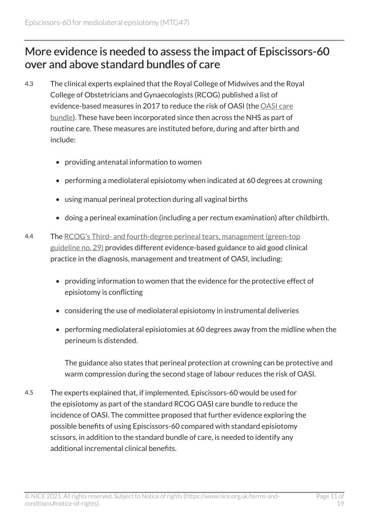## <span id="page-10-0"></span>More evidence is needed to assess the impact of Episcissors-60 over and above standard bundles of care

- 4.3 The clinical experts explained that the Royal College of Midwives and the Royal College of Obstetricians and Gynaecologists (RCOG) published a list of evidence-based measures in 2017 to reduce the risk of OASI (the [OASI care](https://www.rcog.org.uk/OASICareBundle) [bundle](https://www.rcog.org.uk/OASICareBundle)). These have been incorporated since then across the NHS as part of routine care. These measures are instituted before, during and after birth and include:
	- providing antenatal information to women
	- performing a mediolateral episiotomy when indicated at 60 degrees at crowning
	- using manual perineal protection during all vaginal births
	- doing a perineal examination (including a per rectum examination) after childbirth.
- 4.4 The [RCOG's Third- and fourth-degree perineal tears, management \(green-top](https://www.rcog.org.uk/en/guidelines-research-services/guidelines/gtg29/) [guideline no. 29\)](https://www.rcog.org.uk/en/guidelines-research-services/guidelines/gtg29/) provides different evidence-based guidance to aid good clinical practice in the diagnosis, management and treatment of OASI, including:
	- providing information to women that the evidence for the protective effect of episiotomy is conflicting
	- considering the use of mediolateral episiotomy in instrumental deliveries
	- performing mediolateral episiotomies at 60 degrees away from the midline when the perineum is distended.

The guidance also states that perineal protection at crowning can be protective and warm compression during the second stage of labour reduces the risk of OASI.

4.5 The experts explained that, if implemented, Episcissors-60 would be used for the episiotomy as part of the standard RCOG OASI care bundle to reduce the incidence of OASI. The committee proposed that further evidence exploring the possible benefits of using Episcissors-60 compared with standard episiotomy scissors, in addition to the standard bundle of care, is needed to identify any additional incremental clinical benefits.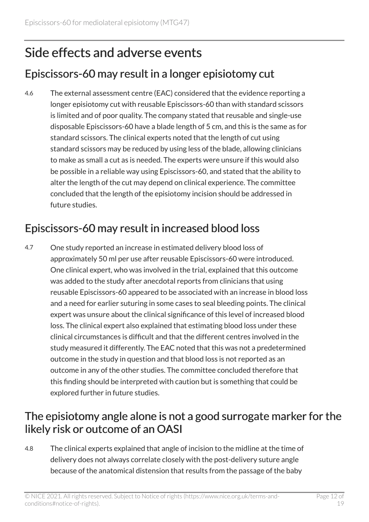## <span id="page-11-0"></span>Side effects and adverse events

## Episcissors-60 may result in a longer episiotomy cut

4.6 The external assessment centre (EAC) considered that the evidence reporting a longer episiotomy cut with reusable Episcissors-60 than with standard scissors is limited and of poor quality. The company stated that reusable and single-use disposable Episcissors-60 have a blade length of 5 cm, and this is the same as for standard scissors. The clinical experts noted that the length of cut using standard scissors may be reduced by using less of the blade, allowing clinicians to make as small a cut as is needed. The experts were unsure if this would also be possible in a reliable way using Episcissors-60, and stated that the ability to alter the length of the cut may depend on clinical experience. The committee concluded that the length of the episiotomy incision should be addressed in future studies.

## Episcissors-60 may result in increased blood loss

4.7 One study reported an increase in estimated delivery blood loss of approximately 50 ml per use after reusable Episcissors-60 were introduced. One clinical expert, who was involved in the trial, explained that this outcome was added to the study after anecdotal reports from clinicians that using reusable Episcissors-60 appeared to be associated with an increase in blood loss and a need for earlier suturing in some cases to seal bleeding points. The clinical expert was unsure about the clinical significance of this level of increased blood loss. The clinical expert also explained that estimating blood loss under these clinical circumstances is difficult and that the different centres involved in the study measured it differently. The EAC noted that this was not a predetermined outcome in the study in question and that blood loss is not reported as an outcome in any of the other studies. The committee concluded therefore that this finding should be interpreted with caution but is something that could be explored further in future studies.

### The episiotomy angle alone is not a good surrogate marker for the likely risk or outcome of an OASI

4.8 The clinical experts explained that angle of incision to the midline at the time of delivery does not always correlate closely with the post-delivery suture angle because of the anatomical distension that results from the passage of the baby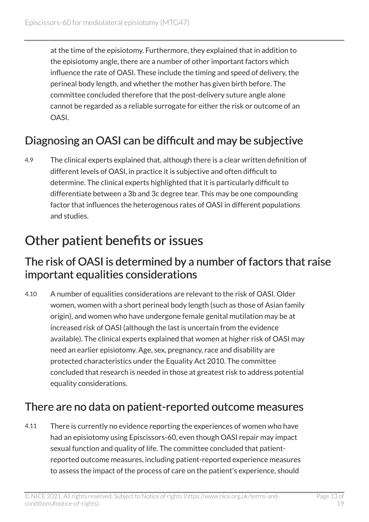at the time of the episiotomy. Furthermore, they explained that in addition to the episiotomy angle, there are a number of other important factors which influence the rate of OASI. These include the timing and speed of delivery, the perineal body length, and whether the mother has given birth before. The committee concluded therefore that the post-delivery suture angle alone cannot be regarded as a reliable surrogate for either the risk or outcome of an OASI.

## Diagnosing an OASI can be difficult and may be subjective

4.9 The clinical experts explained that, although there is a clear written definition of different levels of OASI, in practice it is subjective and often difficult to determine. The clinical experts highlighted that it is particularly difficult to differentiate between a 3b and 3c degree tear. This may be one compounding factor that influences the heterogenous rates of OASI in different populations and studies.

## <span id="page-12-0"></span>Other patient benefits or issues

#### The risk of OASI is determined by a number of factors that raise important equalities considerations

4.10 A number of equalities considerations are relevant to the risk of OASI. Older women, women with a short perineal body length (such as those of Asian family origin), and women who have undergone female genital mutilation may be at increased risk of OASI (although the last is uncertain from the evidence available). The clinical experts explained that women at higher risk of OASI may need an earlier episiotomy. Age, sex, pregnancy, race and disability are protected characteristics under the Equality Act 2010. The committee concluded that research is needed in those at greatest risk to address potential equality considerations.

## There are no data on patient-reported outcome measures

4.11 There is currently no evidence reporting the experiences of women who have had an episiotomy using Episcissors-60, even though OASI repair may impact sexual function and quality of life. The committee concluded that patientreported outcome measures, including patient-reported experience measures to assess the impact of the process of care on the patient's experience, should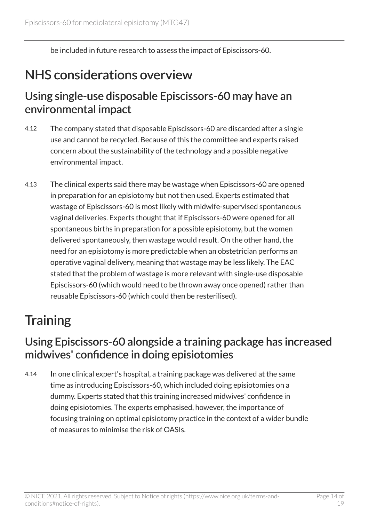be included in future research to assess the impact of Episcissors-60.

## <span id="page-13-0"></span>NHS considerations overview

### Using single-use disposable Episcissors-60 may have an environmental impact

- 4.12 The company stated that disposable Episcissors-60 are discarded after a single use and cannot be recycled. Because of this the committee and experts raised concern about the sustainability of the technology and a possible negative environmental impact.
- 4.13 The clinical experts said there may be wastage when Episcissors-60 are opened in preparation for an episiotomy but not then used. Experts estimated that wastage of Episcissors-60 is most likely with midwife-supervised spontaneous vaginal deliveries. Experts thought that if Episcissors-60 were opened for all spontaneous births in preparation for a possible episiotomy, but the women delivered spontaneously, then wastage would result. On the other hand, the need for an episiotomy is more predictable when an obstetrician performs an operative vaginal delivery, meaning that wastage may be less likely. The EAC stated that the problem of wastage is more relevant with single-use disposable Episcissors-60 (which would need to be thrown away once opened) rather than reusable Episcissors-60 (which could then be resterilised).

## <span id="page-13-1"></span>**Training**

## Using Episcissors-60 alongside a training package has increased midwives' confidence in doing episiotomies

4.14 In one clinical expert's hospital, a training package was delivered at the same time as introducing Episcissors-60, which included doing episiotomies on a dummy. Experts stated that this training increased midwives' confidence in doing episiotomies. The experts emphasised, however, the importance of focusing training on optimal episiotomy practice in the context of a wider bundle of measures to minimise the risk of OASIs.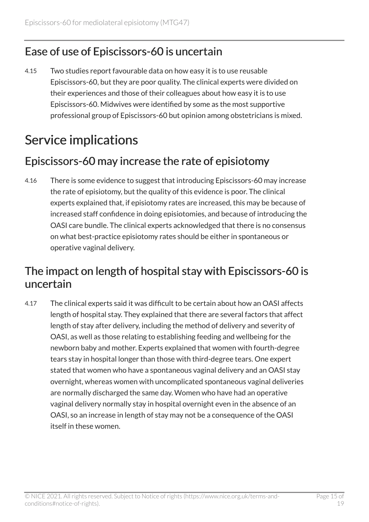## Ease of use of Episcissors-60 is uncertain

4.15 Two studies report favourable data on how easy it is to use reusable Episcissors-60, but they are poor quality. The clinical experts were divided on their experiences and those of their colleagues about how easy it is to use Episcissors-60. Midwives were identified by some as the most supportive professional group of Episcissors-60 but opinion among obstetricians is mixed.

## <span id="page-14-0"></span>Service implications

## Episcissors-60 may increase the rate of episiotomy

4.16 There is some evidence to suggest that introducing Episcissors-60 may increase the rate of episiotomy, but the quality of this evidence is poor. The clinical experts explained that, if episiotomy rates are increased, this may be because of increased staff confidence in doing episiotomies, and because of introducing the OASI care bundle. The clinical experts acknowledged that there is no consensus on what best-practice episiotomy rates should be either in spontaneous or operative vaginal delivery.

## The impact on length of hospital stay with Episcissors-60 is uncertain

4.17 The clinical experts said it was difficult to be certain about how an OASI affects length of hospital stay. They explained that there are several factors that affect length of stay after delivery, including the method of delivery and severity of OASI, as well as those relating to establishing feeding and wellbeing for the newborn baby and mother. Experts explained that women with fourth-degree tears stay in hospital longer than those with third-degree tears. One expert stated that women who have a spontaneous vaginal delivery and an OASI stay overnight, whereas women with uncomplicated spontaneous vaginal deliveries are normally discharged the same day. Women who have had an operative vaginal delivery normally stay in hospital overnight even in the absence of an OASI, so an increase in length of stay may not be a consequence of the OASI itself in these women.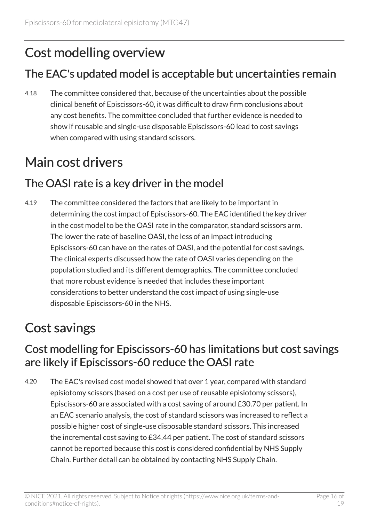## <span id="page-15-0"></span>Cost modelling overview

## The EAC's updated model is acceptable but uncertainties remain

4.18 The committee considered that, because of the uncertainties about the possible clinical benefit of Episcissors-60, it was difficult to draw firm conclusions about any cost benefits. The committee concluded that further evidence is needed to show if reusable and single-use disposable Episcissors-60 lead to cost savings when compared with using standard scissors.

## <span id="page-15-1"></span>Main cost drivers

## The OASI rate is a key driver in the model

4.19 The committee considered the factors that are likely to be important in determining the cost impact of Episcissors-60. The EAC identified the key driver in the cost model to be the OASI rate in the comparator, standard scissors arm. The lower the rate of baseline OASI, the less of an impact introducing Episcissors-60 can have on the rates of OASI, and the potential for cost savings. The clinical experts discussed how the rate of OASI varies depending on the population studied and its different demographics. The committee concluded that more robust evidence is needed that includes these important considerations to better understand the cost impact of using single-use disposable Episcissors-60 in the NHS.

## <span id="page-15-2"></span>Cost savings

## Cost modelling for Episcissors-60 has limitations but cost savings are likely if Episcissors-60 reduce the OASI rate

4.20 The EAC's revised cost model showed that over 1 year, compared with standard episiotomy scissors (based on a cost per use of reusable episiotomy scissors), Episcissors-60 are associated with a cost saving of around £30.70 per patient. In an EAC scenario analysis, the cost of standard scissors was increased to reflect a possible higher cost of single-use disposable standard scissors. This increased the incremental cost saving to £34.44 per patient. The cost of standard scissors cannot be reported because this cost is considered confidential by NHS Supply Chain. Further detail can be obtained by contacting NHS Supply Chain.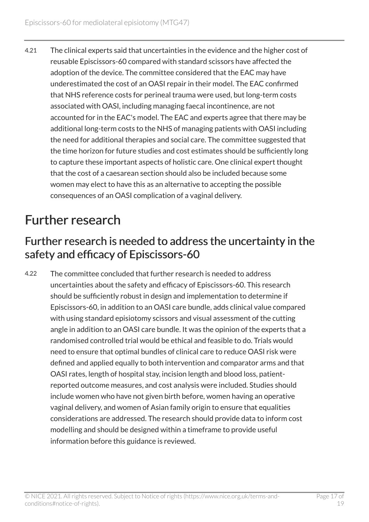4.21 The clinical experts said that uncertainties in the evidence and the higher cost of reusable Episcissors-60 compared with standard scissors have affected the adoption of the device. The committee considered that the EAC may have underestimated the cost of an OASI repair in their model. The EAC confirmed that NHS reference costs for perineal trauma were used, but long-term costs associated with OASI, including managing faecal incontinence, are not accounted for in the EAC's model. The EAC and experts agree that there may be additional long-term costs to the NHS of managing patients with OASI including the need for additional therapies and social care. The committee suggested that the time horizon for future studies and cost estimates should be sufficiently long to capture these important aspects of holistic care. One clinical expert thought that the cost of a caesarean section should also be included because some women may elect to have this as an alternative to accepting the possible consequences of an OASI complication of a vaginal delivery.

## <span id="page-16-0"></span>Further research

### Further research is needed to address the uncertainty in the safety and efficacy of Episcissors-60

4.22 The committee concluded that further research is needed to address uncertainties about the safety and efficacy of Episcissors-60. This research should be sufficiently robust in design and implementation to determine if Episcissors-60, in addition to an OASI care bundle, adds clinical value compared with using standard episiotomy scissors and visual assessment of the cutting angle in addition to an OASI care bundle. It was the opinion of the experts that a randomised controlled trial would be ethical and feasible to do. Trials would need to ensure that optimal bundles of clinical care to reduce OASI risk were defined and applied equally to both intervention and comparator arms and that OASI rates, length of hospital stay, incision length and blood loss, patientreported outcome measures, and cost analysis were included. Studies should include women who have not given birth before, women having an operative vaginal delivery, and women of Asian family origin to ensure that equalities considerations are addressed. The research should provide data to inform cost modelling and should be designed within a timeframe to provide useful information before this guidance is reviewed.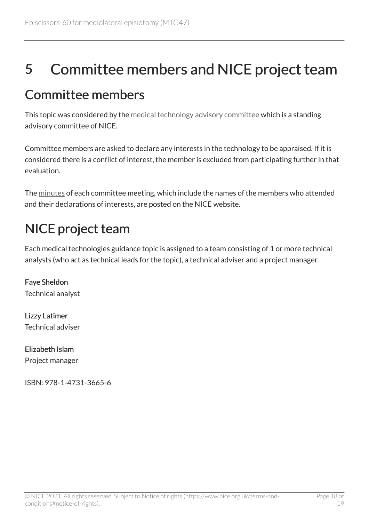# <span id="page-17-0"></span>5 Committee members and NICE project team

## <span id="page-17-1"></span>Committee members

This topic was considered by the [medical technology advisory committee](https://www.nice.org.uk/Get-Involved/Meetings-in-public/Medical-Technologies-Advisory-Committee/Members) which is a standing advisory committee of NICE.

Committee members are asked to declare any interests in the technology to be appraised. If it is considered there is a conflict of interest, the member is excluded from participating further in that evaluation.

The [minutes](https://www.nice.org.uk/get-involved/meetings-in-public/medical-technologies-advisory-committee) of each committee meeting, which include the names of the members who attended and their declarations of interests, are posted on the NICE website.

## <span id="page-17-2"></span>NICE project team

Each medical technologies guidance topic is assigned to a team consisting of 1 or more technical analysts (who act as technical leads for the topic), a technical adviser and a project manager.

Faye Sheldon Technical analyst

Lizzy Latimer Technical adviser

Elizabeth Islam Project manager

ISBN: 978-1-4731-3665-6